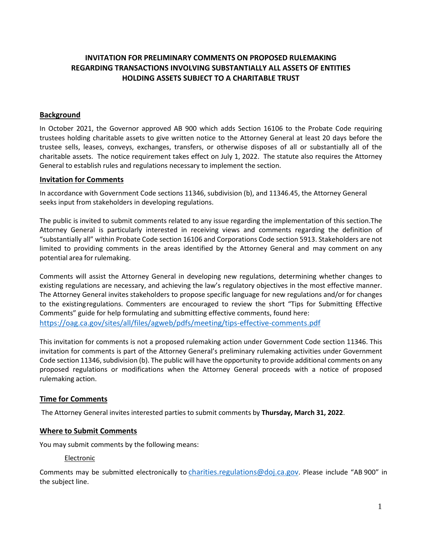# **INVITATION FOR PRELIMINARY COMMENTS ON PROPOSED RULEMAKING REGARDING TRANSACTIONS INVOLVING SUBSTANTIALLY ALL ASSETS OF ENTITIES HOLDING ASSETS SUBJECT TO A CHARITABLE TRUST**

### **Background**

In October 2021, the Governor approved AB 900 which adds Section 16106 to the Probate Code requiring trustees holding charitable assets to give written notice to the Attorney General at least 20 days before the trustee sells, leases, conveys, exchanges, transfers, or otherwise disposes of all or substantially all of the charitable assets. The notice requirement takes effect on July 1, 2022. The statute also requires the Attorney General to establish rules and regulations necessary to implement the section.

#### **Invitation for Comments**

In accordance with Government Code sections 11346, subdivision (b), and 11346.45, the Attorney General seeks input from stakeholders in developing regulations.

The public is invited to submit comments related to any issue regarding the implementation of this section. The Attorney General is particularly interested in receiving views and comments regarding the definition of "substantially all" within Probate Code section 16106 and Corporations Code section 5913. Stakeholders are not limited to providing comments in the areas identified by the Attorney General and may comment on any potential area for rulemaking.

Comments will assist the Attorney General in developing new regulations, determining whether changes to existing regulations are necessary, and achieving the law's regulatory objectives in the most effective manner. The Attorney General invites stakeholders to propose specific language for new regulations and/or for changes to the existingregulations. Commenters are encouraged to review the short "Tips for Submitting Effective Comments" guide for help formulating and submitting effective comments, found here: <https://oag.ca.gov/sites/all/files/agweb/pdfs/meeting/tips-effective-comments.pdf>

This invitation for comments is not a proposed rulemaking action under Government Code section 11346. This invitation for comments is part of the Attorney General's preliminary rulemaking activities under Government Code section 11346, subdivision (b). The public will have the opportunity to provide additional comments on any proposed regulations or modifications when the Attorney General proceeds with a notice of proposed rulemaking action.

### **Time for Comments**

The Attorney General invites interested parties to submit comments by **Thursday, March 31, 2022**.

#### **Where to Submit Comments**

You may submit comments by the following means:

#### Electronic

Comments may be submitted electronically to *charities.regulations@doj.ca.gov*. Please include "AB 900" in the subject line.